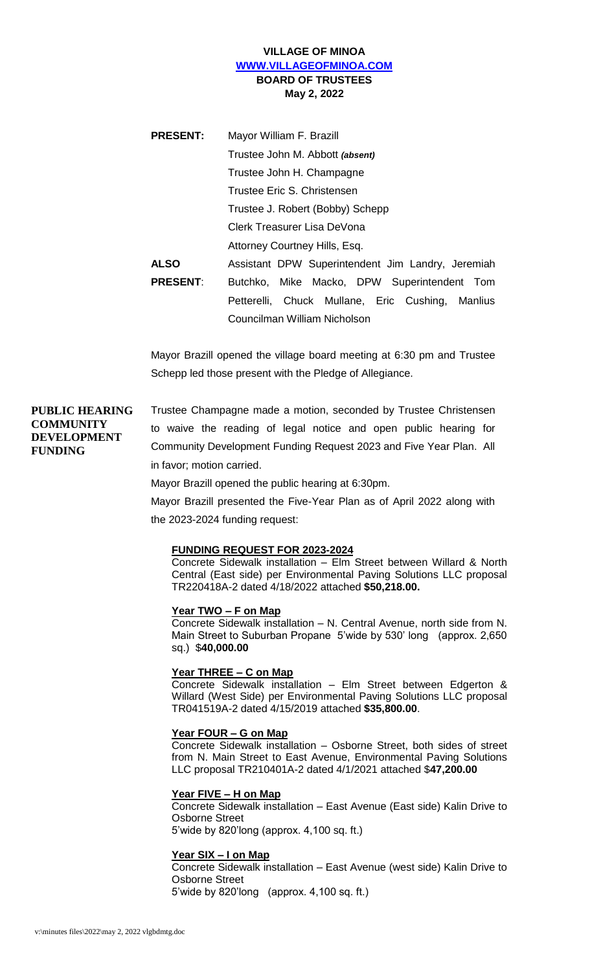# **VILLAGE OF MINOA [WWW.VILLAGEOFMINOA.COM](http://www.villageofminoa.com/) BOARD OF TRUSTEES May 2, 2022**

| <b>PRESENT:</b> | Mayor William F. Brazill                          |
|-----------------|---------------------------------------------------|
|                 | Trustee John M. Abbott (absent)                   |
|                 | Trustee John H. Champagne                         |
|                 | Trustee Eric S. Christensen                       |
|                 | Trustee J. Robert (Bobby) Schepp                  |
|                 | Clerk Treasurer Lisa DeVona                       |
|                 | Attorney Courtney Hills, Esq.                     |
| <b>ALSO</b>     | Assistant DPW Superintendent Jim Landry, Jeremiah |
| <b>PRESENT:</b> | Butchko, Mike Macko, DPW Superintendent Tom       |
|                 | Petterelli, Chuck Mullane, Eric Cushing, Manlius  |
|                 | Councilman William Nicholson                      |

Mayor Brazill opened the village board meeting at 6:30 pm and Trustee Schepp led those present with the Pledge of Allegiance.

**PUBLIC HEARING COMMUNITY DEVELOPMENT FUNDING** Trustee Champagne made a motion, seconded by Trustee Christensen to waive the reading of legal notice and open public hearing for Community Development Funding Request 2023 and Five Year Plan. All in favor; motion carried.

Mayor Brazill opened the public hearing at 6:30pm.

Mayor Brazill presented the Five-Year Plan as of April 2022 along with the 2023-2024 funding request:

# **FUNDING REQUEST FOR 2023-2024**

Concrete Sidewalk installation – Elm Street between Willard & North Central (East side) per Environmental Paving Solutions LLC proposal TR220418A-2 dated 4/18/2022 attached **\$50,218.00.**

#### **Year TWO – F on Map**

Concrete Sidewalk installation – N. Central Avenue, north side from N. Main Street to Suburban Propane 5'wide by 530' long (approx. 2,650 sq.) \$**40,000.00**

#### **Year THREE – C on Map**

Concrete Sidewalk installation – Elm Street between Edgerton & Willard (West Side) per Environmental Paving Solutions LLC proposal TR041519A-2 dated 4/15/2019 attached **\$35,800.00**.

#### **Year FOUR – G on Map**

Concrete Sidewalk installation – Osborne Street, both sides of street from N. Main Street to East Avenue, Environmental Paving Solutions LLC proposal TR210401A-2 dated 4/1/2021 attached \$**47,200.00**

#### **Year FIVE – H on Map**

Concrete Sidewalk installation – East Avenue (East side) Kalin Drive to Osborne Street 5'wide by 820'long (approx. 4,100 sq. ft.)

#### **Year SIX – I on Map**

Concrete Sidewalk installation – East Avenue (west side) Kalin Drive to Osborne Street 5'wide by 820'long (approx. 4,100 sq. ft.)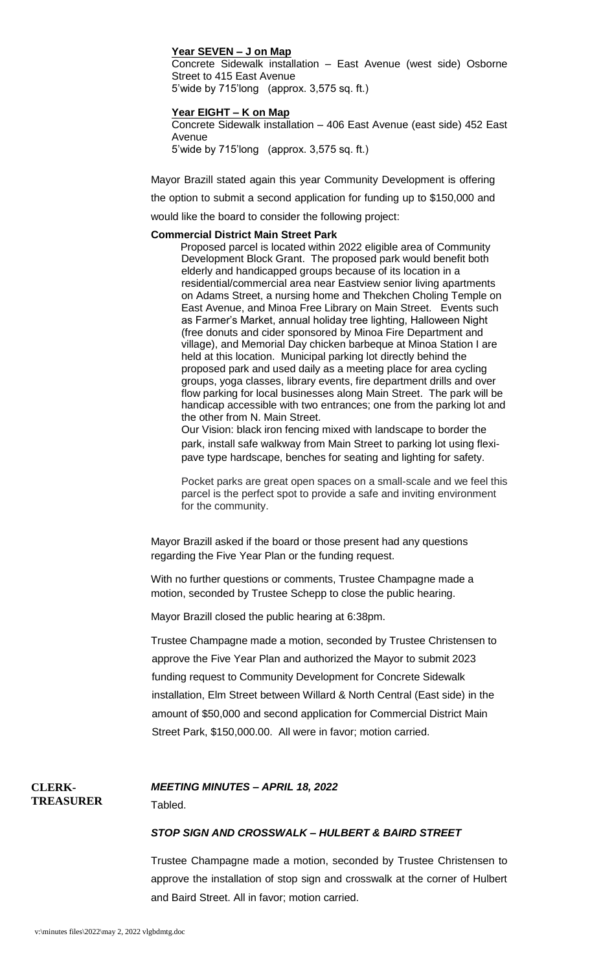#### **Year SEVEN – J on Map**

Concrete Sidewalk installation – East Avenue (west side) Osborne Street to 415 East Avenue 5'wide by 715'long (approx. 3,575 sq. ft.)

#### **Year EIGHT – K on Map**

Concrete Sidewalk installation – 406 East Avenue (east side) 452 East Avenue 5'wide by 715'long (approx. 3,575 sq. ft.)

Mayor Brazill stated again this year Community Development is offering the option to submit a second application for funding up to \$150,000 and would like the board to consider the following project:

#### **Commercial District Main Street Park**

 Proposed parcel is located within 2022 eligible area of Community Development Block Grant. The proposed park would benefit both elderly and handicapped groups because of its location in a residential/commercial area near Eastview senior living apartments on Adams Street, a nursing home and Thekchen Choling Temple on East Avenue, and Minoa Free Library on Main Street. Events such as Farmer's Market, annual holiday tree lighting, Halloween Night (free donuts and cider sponsored by Minoa Fire Department and village), and Memorial Day chicken barbeque at Minoa Station I are held at this location. Municipal parking lot directly behind the proposed park and used daily as a meeting place for area cycling groups, yoga classes, library events, fire department drills and over flow parking for local businesses along Main Street. The park will be handicap accessible with two entrances; one from the parking lot and the other from N. Main Street.

Our Vision: black iron fencing mixed with landscape to border the park, install safe walkway from Main Street to parking lot using flexipave type hardscape, benches for seating and lighting for safety.

Pocket parks are great open spaces on a small-scale and we feel this parcel is the perfect spot to provide a safe and inviting environment for the community.

Mayor Brazill asked if the board or those present had any questions regarding the Five Year Plan or the funding request.

With no further questions or comments, Trustee Champagne made a motion, seconded by Trustee Schepp to close the public hearing.

Mayor Brazill closed the public hearing at 6:38pm.

Trustee Champagne made a motion, seconded by Trustee Christensen to approve the Five Year Plan and authorized the Mayor to submit 2023 funding request to Community Development for Concrete Sidewalk installation, Elm Street between Willard & North Central (East side) in the amount of \$50,000 and second application for Commercial District Main Street Park, \$150,000.00. All were in favor; motion carried.

**CLERK-TREASURER**

# *MEETING MINUTES – APRIL 18, 2022*

Tabled.

### *STOP SIGN AND CROSSWALK – HULBERT & BAIRD STREET*

Trustee Champagne made a motion, seconded by Trustee Christensen to approve the installation of stop sign and crosswalk at the corner of Hulbert and Baird Street. All in favor; motion carried.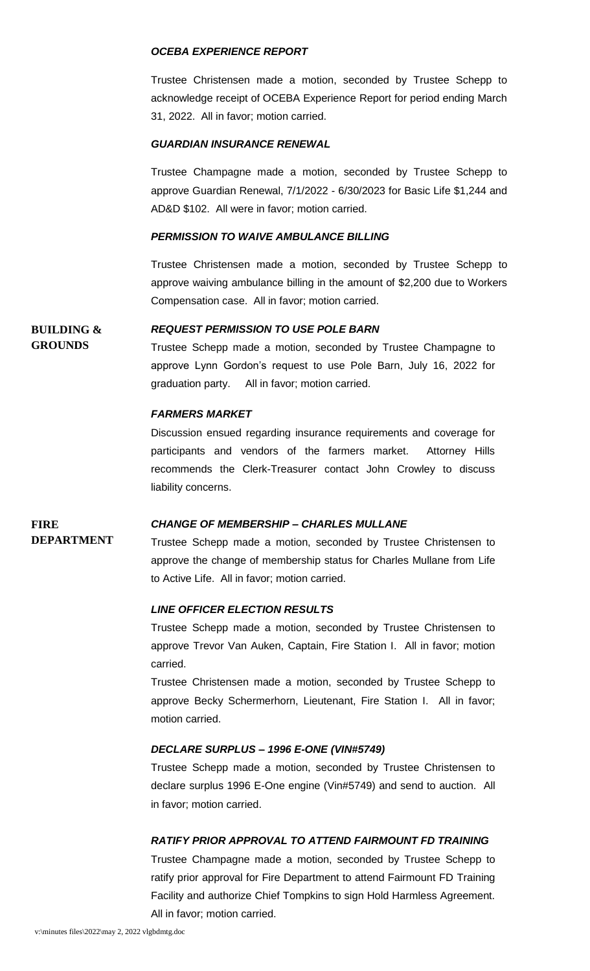### *OCEBA EXPERIENCE REPORT*

Trustee Christensen made a motion, seconded by Trustee Schepp to acknowledge receipt of OCEBA Experience Report for period ending March 31, 2022. All in favor; motion carried.

# *GUARDIAN INSURANCE RENEWAL*

Trustee Champagne made a motion, seconded by Trustee Schepp to approve Guardian Renewal, 7/1/2022 - 6/30/2023 for Basic Life \$1,244 and AD&D \$102. All were in favor; motion carried.

### *PERMISSION TO WAIVE AMBULANCE BILLING*

Trustee Christensen made a motion, seconded by Trustee Schepp to approve waiving ambulance billing in the amount of \$2,200 due to Workers Compensation case. All in favor; motion carried.

#### **BUILDING &**  *REQUEST PERMISSION TO USE POLE BARN*

**GROUNDS**

Trustee Schepp made a motion, seconded by Trustee Champagne to approve Lynn Gordon's request to use Pole Barn, July 16, 2022 for graduation party. All in favor; motion carried.

# *FARMERS MARKET*

Discussion ensued regarding insurance requirements and coverage for participants and vendors of the farmers market. Attorney Hills recommends the Clerk-Treasurer contact John Crowley to discuss liability concerns.

# **FIRE**

**DEPARTMENT**

# *CHANGE OF MEMBERSHIP – CHARLES MULLANE*

Trustee Schepp made a motion, seconded by Trustee Christensen to approve the change of membership status for Charles Mullane from Life to Active Life. All in favor; motion carried.

# *LINE OFFICER ELECTION RESULTS*

Trustee Schepp made a motion, seconded by Trustee Christensen to approve Trevor Van Auken, Captain, Fire Station I. All in favor; motion carried.

Trustee Christensen made a motion, seconded by Trustee Schepp to approve Becky Schermerhorn, Lieutenant, Fire Station I. All in favor; motion carried.

# *DECLARE SURPLUS – 1996 E-ONE (VIN#5749)*

Trustee Schepp made a motion, seconded by Trustee Christensen to declare surplus 1996 E-One engine (Vin#5749) and send to auction. All in favor; motion carried.

# *RATIFY PRIOR APPROVAL TO ATTEND FAIRMOUNT FD TRAINING*

Trustee Champagne made a motion, seconded by Trustee Schepp to ratify prior approval for Fire Department to attend Fairmount FD Training Facility and authorize Chief Tompkins to sign Hold Harmless Agreement. All in favor; motion carried.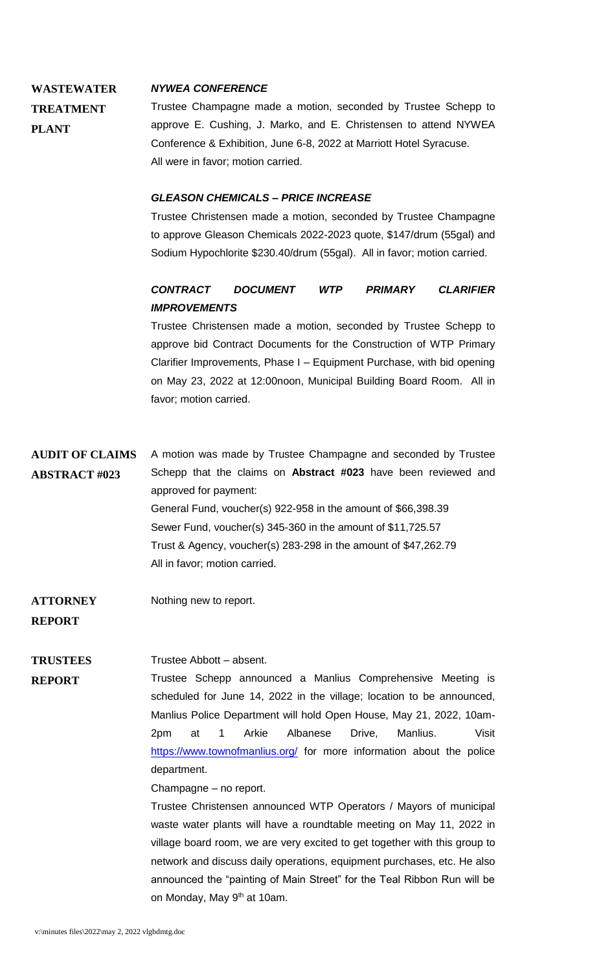#### **WASTEWATER TREATMENT PLANT** *NYWEA CONFERENCE*  Trustee Champagne made a motion, seconded by Trustee Schepp to approve E. Cushing, J. Marko, and E. Christensen to attend NYWEA Conference & Exhibition, June 6-8, 2022 at Marriott Hotel Syracuse. All were in favor; motion carried.

# *GLEASON CHEMICALS – PRICE INCREASE*

Trustee Christensen made a motion, seconded by Trustee Champagne to approve Gleason Chemicals 2022-2023 quote, \$147/drum (55gal) and Sodium Hypochlorite \$230.40/drum (55gal). All in favor; motion carried.

# *CONTRACT DOCUMENT WTP PRIMARY CLARIFIER IMPROVEMENTS*

Trustee Christensen made a motion, seconded by Trustee Schepp to approve bid Contract Documents for the Construction of WTP Primary Clarifier Improvements, Phase I – Equipment Purchase, with bid opening on May 23, 2022 at 12:00noon, Municipal Building Board Room. All in favor; motion carried.

**AUDIT OF CLAIMS ABSTRACT #023** A motion was made by Trustee Champagne and seconded by Trustee Schepp that the claims on **Abstract #023** have been reviewed and approved for payment: General Fund, voucher(s) 922-958 in the amount of \$66,398.39 Sewer Fund, voucher(s) 345-360 in the amount of \$11,725.57 Trust & Agency, voucher(s) 283-298 in the amount of \$47,262.79 All in favor; motion carried.

**ATTORNEY REPORT** Nothing new to report.

#### **TRUSTEES**  Trustee Abbott – absent.

**REPORT**

Trustee Schepp announced a Manlius Comprehensive Meeting is scheduled for June 14, 2022 in the village; location to be announced, Manlius Police Department will hold Open House, May 21, 2022, 10am-2pm at 1 Arkie Albanese Drive, Manlius. Visit <https://www.townofmanlius.org/> for more information about the police department.

Champagne – no report.

Trustee Christensen announced WTP Operators / Mayors of municipal waste water plants will have a roundtable meeting on May 11, 2022 in village board room, we are very excited to get together with this group to network and discuss daily operations, equipment purchases, etc. He also announced the "painting of Main Street" for the Teal Ribbon Run will be on Monday, May 9<sup>th</sup> at 10am.